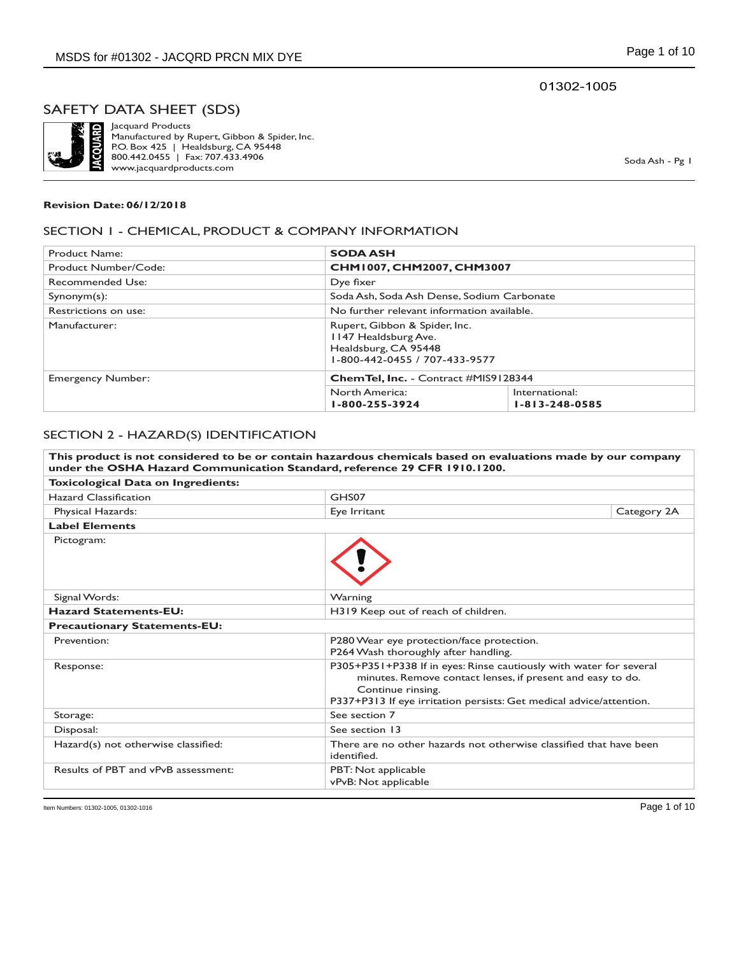01302-1005

## SAFETY DATA SHEET (SDS)



Jacquard Products Manufactured by Rupert, Gibbon & Spider, Inc. P.O. Box 425 | Healdsburg, CA 95448 800.442.0455 | Fax: 707.433.4906 www.jacquardproducts.com

Soda Ash - Pg 1

#### **Revision Date: 06/12/2018**

#### SECTION 1 - CHEMICAL, PRODUCT & COMPANY INFORMATION

| Product Name:            | <b>SODA ASH</b>                                                                                                |                                            |  |
|--------------------------|----------------------------------------------------------------------------------------------------------------|--------------------------------------------|--|
| Product Number/Code:     |                                                                                                                | CHM1007, CHM2007, CHM3007                  |  |
| Recommended Use:         | Dye fixer                                                                                                      |                                            |  |
| $Symonym(s)$ :           |                                                                                                                | Soda Ash, Soda Ash Dense, Sodium Carbonate |  |
| Restrictions on use:     | No further relevant information available.                                                                     |                                            |  |
| Manufacturer:            | Rupert, Gibbon & Spider, Inc.<br>1147 Healdsburg Ave.<br>Healdsburg, CA 95448<br>1-800-442-0455 / 707-433-9577 |                                            |  |
| <b>Emergency Number:</b> | <b>ChemTel, Inc.</b> - Contract #MIS9128344                                                                    |                                            |  |
|                          | North America:<br>1-800-255-3924                                                                               | International:<br>$1 - 813 - 248 - 0585$   |  |

#### SECTION 2 - HAZARD(S) IDENTIFICATION

| This product is not considered to be or contain hazardous chemicals based on evaluations made by our company<br>under the OSHA Hazard Communication Standard, reference 29 CFR 1910.1200. |                                                                                                                                                                                                                              |             |
|-------------------------------------------------------------------------------------------------------------------------------------------------------------------------------------------|------------------------------------------------------------------------------------------------------------------------------------------------------------------------------------------------------------------------------|-------------|
| <b>Toxicological Data on Ingredients:</b>                                                                                                                                                 |                                                                                                                                                                                                                              |             |
| Hazard Classification                                                                                                                                                                     | GHS07                                                                                                                                                                                                                        |             |
| Physical Hazards:                                                                                                                                                                         | Eye Irritant                                                                                                                                                                                                                 | Category 2A |
| <b>Label Elements</b>                                                                                                                                                                     |                                                                                                                                                                                                                              |             |
| Pictogram:                                                                                                                                                                                |                                                                                                                                                                                                                              |             |
| Signal Words:                                                                                                                                                                             | Warning                                                                                                                                                                                                                      |             |
| <b>Hazard Statements-EU:</b>                                                                                                                                                              | H319 Keep out of reach of children.                                                                                                                                                                                          |             |
| <b>Precautionary Statements-EU:</b>                                                                                                                                                       |                                                                                                                                                                                                                              |             |
| Prevention:                                                                                                                                                                               | P280 Wear eye protection/face protection.<br>P264 Wash thoroughly after handling.                                                                                                                                            |             |
| Response:                                                                                                                                                                                 | P305+P351+P338 If in eyes: Rinse cautiously with water for several<br>minutes. Remove contact lenses, if present and easy to do.<br>Continue rinsing.<br>P337+P313 If eye irritation persists: Get medical advice/attention. |             |
| Storage:                                                                                                                                                                                  | See section 7                                                                                                                                                                                                                |             |
| Disposal:                                                                                                                                                                                 | See section 13                                                                                                                                                                                                               |             |
| Hazard(s) not otherwise classified:                                                                                                                                                       | There are no other hazards not otherwise classified that have been<br>identified.                                                                                                                                            |             |
| Results of PBT and vPvB assessment:                                                                                                                                                       | PBT: Not applicable<br>vPvB: Not applicable                                                                                                                                                                                  |             |

Item Numbers: 01302-1005, 01302-1016 Page 1 of 10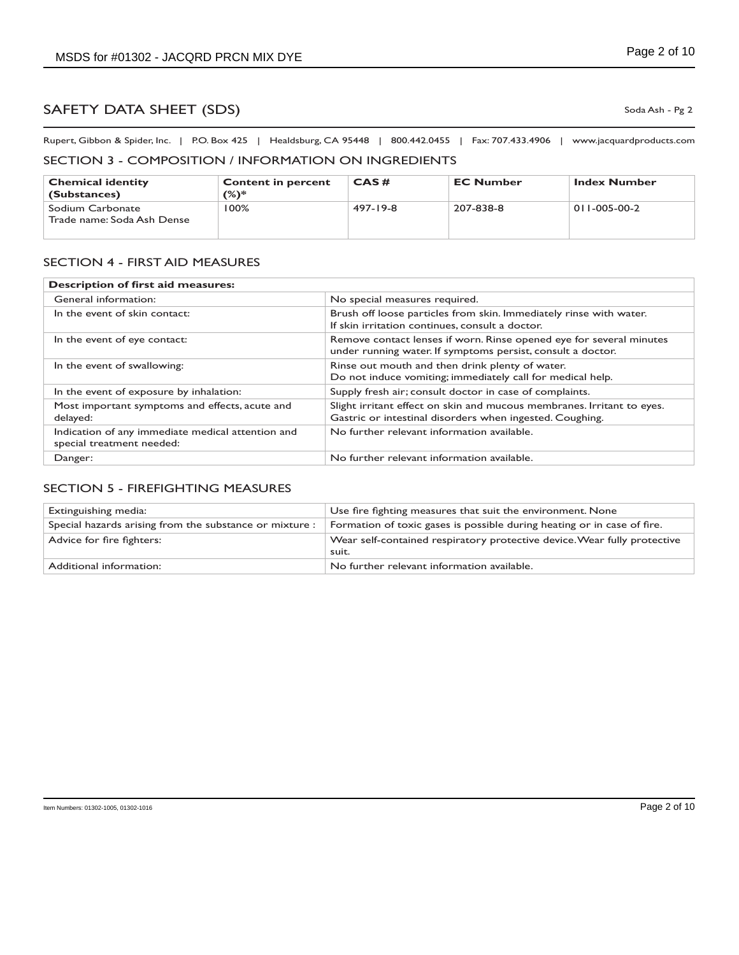Rupert, Gibbon & Spider, Inc. | P.O. Box 425 | Healdsburg, CA 95448 | 800.442.0455 | Fax: 707.433.4906 | www.jacquardproducts.com

## SECTION 3 - COMPOSITION / INFORMATION ON INGREDIENTS

| <b>Chemical identity</b><br>(Substances)       | <b>Content in percent</b><br>(%)* | CAS#     | <b>EC Number</b> | <b>Index Number</b>  |
|------------------------------------------------|-----------------------------------|----------|------------------|----------------------|
| Sodium Carbonate<br>Trade name: Soda Ash Dense | 100%                              | 497-19-8 | 207-838-8        | $011 - 005 - 00 - 2$ |

## SECTION 4 - FIRST AID MEASURES

| <b>Description of first aid measures:</b>                                      |                                                                                                                                    |
|--------------------------------------------------------------------------------|------------------------------------------------------------------------------------------------------------------------------------|
| General information:                                                           | No special measures required.                                                                                                      |
| In the event of skin contact:                                                  | Brush off loose particles from skin. Immediately rinse with water.<br>If skin irritation continues, consult a doctor.              |
| In the event of eye contact:                                                   | Remove contact lenses if worn. Rinse opened eye for several minutes<br>under running water. If symptoms persist, consult a doctor. |
| In the event of swallowing:                                                    | Rinse out mouth and then drink plenty of water.<br>Do not induce vomiting; immediately call for medical help.                      |
| In the event of exposure by inhalation:                                        | Supply fresh air; consult doctor in case of complaints.                                                                            |
| Most important symptoms and effects, acute and<br>delayed:                     | Slight irritant effect on skin and mucous membranes. Irritant to eyes.<br>Gastric or intestinal disorders when ingested. Coughing. |
| Indication of any immediate medical attention and<br>special treatment needed: | No further relevant information available.                                                                                         |
| Danger:                                                                        | No further relevant information available.                                                                                         |

#### SECTION 5 - FIREFIGHTING MEASURES

| Extinguishing media:                                    | Use fire fighting measures that suit the environment. None                        |
|---------------------------------------------------------|-----------------------------------------------------------------------------------|
| Special hazards arising from the substance or mixture : | Formation of toxic gases is possible during heating or in case of fire.           |
| Advice for fire fighters:                               | Wear self-contained respiratory protective device. Wear fully protective<br>suit. |
| Additional information:                                 | No further relevant information available.                                        |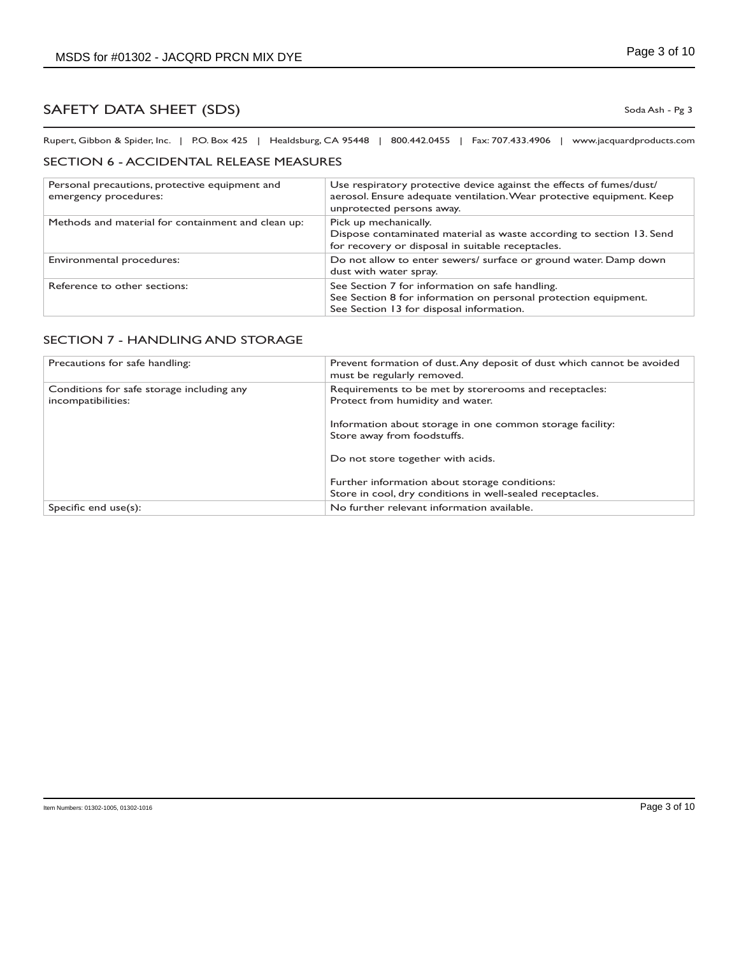Rupert, Gibbon & Spider, Inc. | P.O. Box 425 | Healdsburg, CA 95448 | 800.442.0455 | Fax: 707.433.4906 | www.jacquardproducts.com

#### SECTION 6 - ACCIDENTAL RELEASE MEASURES

| Personal precautions, protective equipment and<br>emergency procedures: | Use respiratory protective device against the effects of fumes/dust/<br>aerosol. Ensure adequate ventilation. Wear protective equipment. Keep<br>unprotected persons away. |
|-------------------------------------------------------------------------|----------------------------------------------------------------------------------------------------------------------------------------------------------------------------|
| Methods and material for containment and clean up:                      | Pick up mechanically.<br>Dispose contaminated material as waste according to section 13. Send<br>for recovery or disposal in suitable receptacles.                         |
| Environmental procedures:                                               | Do not allow to enter sewers/ surface or ground water. Damp down<br>dust with water spray.                                                                                 |
| Reference to other sections:                                            | See Section 7 for information on safe handling.<br>See Section 8 for information on personal protection equipment.<br>See Section 13 for disposal information.             |

#### SECTION 7 - HANDLING AND STORAGE

| Precautions for safe handling:                                  | Prevent formation of dust. Any deposit of dust which cannot be avoided<br>must be regularly removed.       |
|-----------------------------------------------------------------|------------------------------------------------------------------------------------------------------------|
| Conditions for safe storage including any<br>incompatibilities: | Requirements to be met by storerooms and receptacles:<br>Protect from humidity and water.                  |
|                                                                 | Information about storage in one common storage facility:<br>Store away from foodstuffs.                   |
|                                                                 | Do not store together with acids.                                                                          |
|                                                                 | Further information about storage conditions:<br>Store in cool, dry conditions in well-sealed receptacles. |
| Specific end $use(s)$ :                                         | No further relevant information available.                                                                 |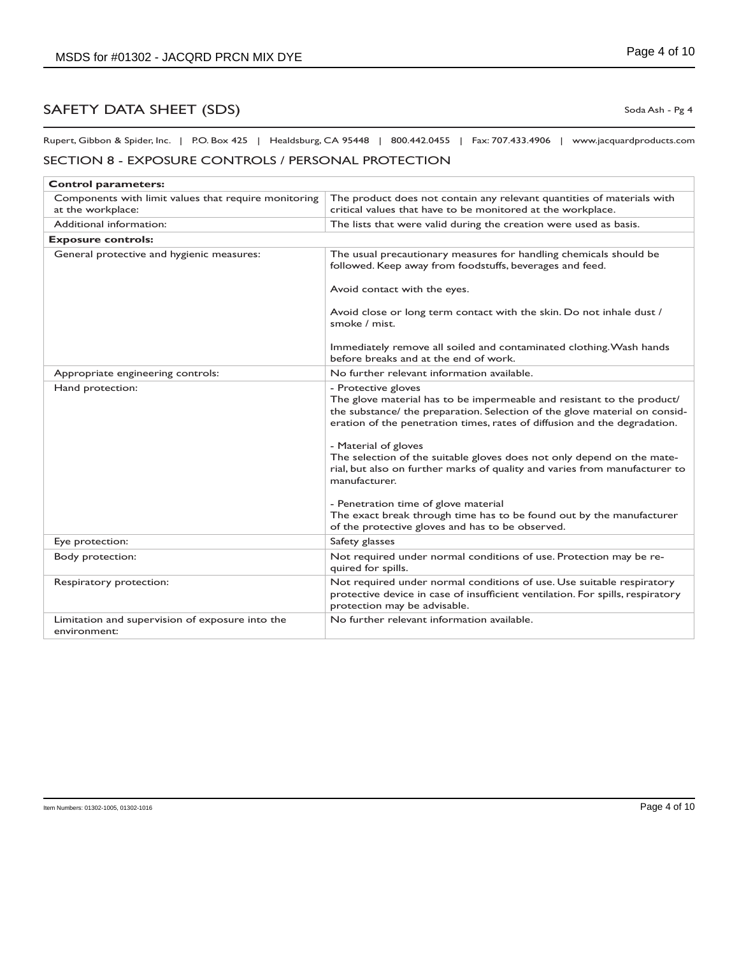Rupert, Gibbon & Spider, Inc. | P.O. Box 425 | Healdsburg, CA 95448 | 800.442.0455 | Fax: 707.433.4906 | www.jacquardproducts.com

## SECTION 8 - EXPOSURE CONTROLS / PERSONAL PROTECTION

| <b>Control parameters:</b>                                                |                                                                                                                                                                                                                                                          |
|---------------------------------------------------------------------------|----------------------------------------------------------------------------------------------------------------------------------------------------------------------------------------------------------------------------------------------------------|
| Components with limit values that require monitoring<br>at the workplace: | The product does not contain any relevant quantities of materials with<br>critical values that have to be monitored at the workplace.                                                                                                                    |
| Additional information:                                                   | The lists that were valid during the creation were used as basis.                                                                                                                                                                                        |
| <b>Exposure controls:</b>                                                 |                                                                                                                                                                                                                                                          |
| General protective and hygienic measures:                                 | The usual precautionary measures for handling chemicals should be<br>followed. Keep away from foodstuffs, beverages and feed.                                                                                                                            |
|                                                                           | Avoid contact with the eyes.                                                                                                                                                                                                                             |
|                                                                           | Avoid close or long term contact with the skin. Do not inhale dust /<br>smoke / mist.                                                                                                                                                                    |
|                                                                           | Immediately remove all soiled and contaminated clothing. Wash hands<br>before breaks and at the end of work.                                                                                                                                             |
| Appropriate engineering controls:                                         | No further relevant information available.                                                                                                                                                                                                               |
| Hand protection:                                                          | - Protective gloves<br>The glove material has to be impermeable and resistant to the product/<br>the substance/ the preparation. Selection of the glove material on consid-<br>eration of the penetration times, rates of diffusion and the degradation. |
|                                                                           | - Material of gloves<br>The selection of the suitable gloves does not only depend on the mate-<br>rial, but also on further marks of quality and varies from manufacturer to<br>manufacturer.                                                            |
|                                                                           | - Penetration time of glove material<br>The exact break through time has to be found out by the manufacturer<br>of the protective gloves and has to be observed.                                                                                         |
| Eye protection:                                                           | Safety glasses                                                                                                                                                                                                                                           |
| Body protection:                                                          | Not required under normal conditions of use. Protection may be re-<br>quired for spills.                                                                                                                                                                 |
| Respiratory protection:                                                   | Not required under normal conditions of use. Use suitable respiratory<br>protective device in case of insufficient ventilation. For spills, respiratory<br>protection may be advisable.                                                                  |
| Limitation and supervision of exposure into the<br>environment:           | No further relevant information available.                                                                                                                                                                                                               |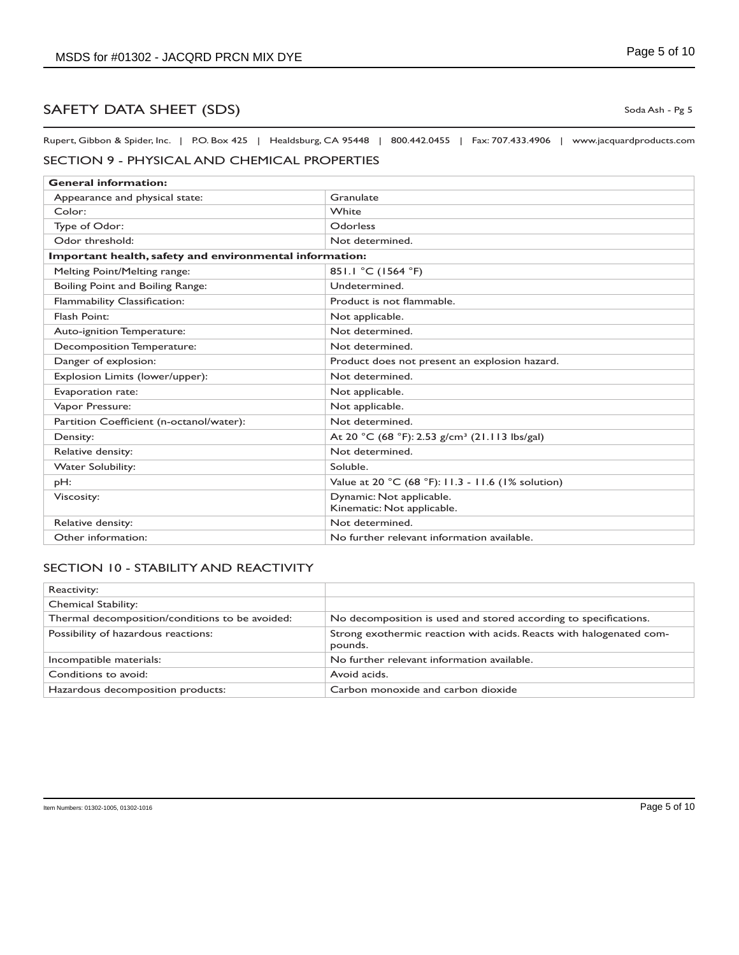Rupert, Gibbon & Spider, Inc. | P.O. Box 425 | Healdsburg, CA 95448 | 800.442.0455 | Fax: 707.433.4906 | www.jacquardproducts.com

## SECTION 9 - PHYSICAL AND CHEMICAL PROPERTIES

| <b>General information:</b>                             |                                                           |  |
|---------------------------------------------------------|-----------------------------------------------------------|--|
| Appearance and physical state:                          | Granulate                                                 |  |
| Color:                                                  | White                                                     |  |
| Type of Odor:                                           | Odorless                                                  |  |
| Odor threshold:                                         | Not determined.                                           |  |
| Important health, safety and environmental information: |                                                           |  |
| Melting Point/Melting range:                            | 851.1 °C (1564 °F)                                        |  |
| Boiling Point and Boiling Range:                        | Undetermined.                                             |  |
| Flammability Classification:                            | Product is not flammable.                                 |  |
| Flash Point:                                            | Not applicable.                                           |  |
| Auto-ignition Temperature:                              | Not determined.                                           |  |
| Decomposition Temperature:                              | Not determined.                                           |  |
| Danger of explosion:                                    | Product does not present an explosion hazard.             |  |
| Explosion Limits (lower/upper):                         | Not determined.                                           |  |
| Evaporation rate:                                       | Not applicable.                                           |  |
| Vapor Pressure:                                         | Not applicable.                                           |  |
| Partition Coefficient (n-octanol/water):                | Not determined.                                           |  |
| Density:                                                | At 20 °C (68 °F): 2.53 g/cm <sup>3</sup> (21.113 lbs/gal) |  |
| Relative density:                                       | Not determined.                                           |  |
| <b>Water Solubility:</b>                                | Soluble.                                                  |  |
| pH:                                                     | Value at 20 °C (68 °F): 11.3 - 11.6 (1% solution)         |  |
| Viscosity:                                              | Dynamic: Not applicable.                                  |  |
|                                                         | Kinematic: Not applicable.                                |  |
| Relative density:                                       | Not determined.                                           |  |
| Other information:                                      | No further relevant information available.                |  |

## SECTION 10 - STABILITY AND REACTIVITY

| Reactivity:                                     |                                                                                |
|-------------------------------------------------|--------------------------------------------------------------------------------|
| <b>Chemical Stability:</b>                      |                                                                                |
| Thermal decomposition/conditions to be avoided: | No decomposition is used and stored according to specifications.               |
| Possibility of hazardous reactions:             | Strong exothermic reaction with acids. Reacts with halogenated com-<br>pounds. |
| Incompatible materials:                         | No further relevant information available.                                     |
| Conditions to avoid:                            | Avoid acids.                                                                   |
| Hazardous decomposition products:               | Carbon monoxide and carbon dioxide                                             |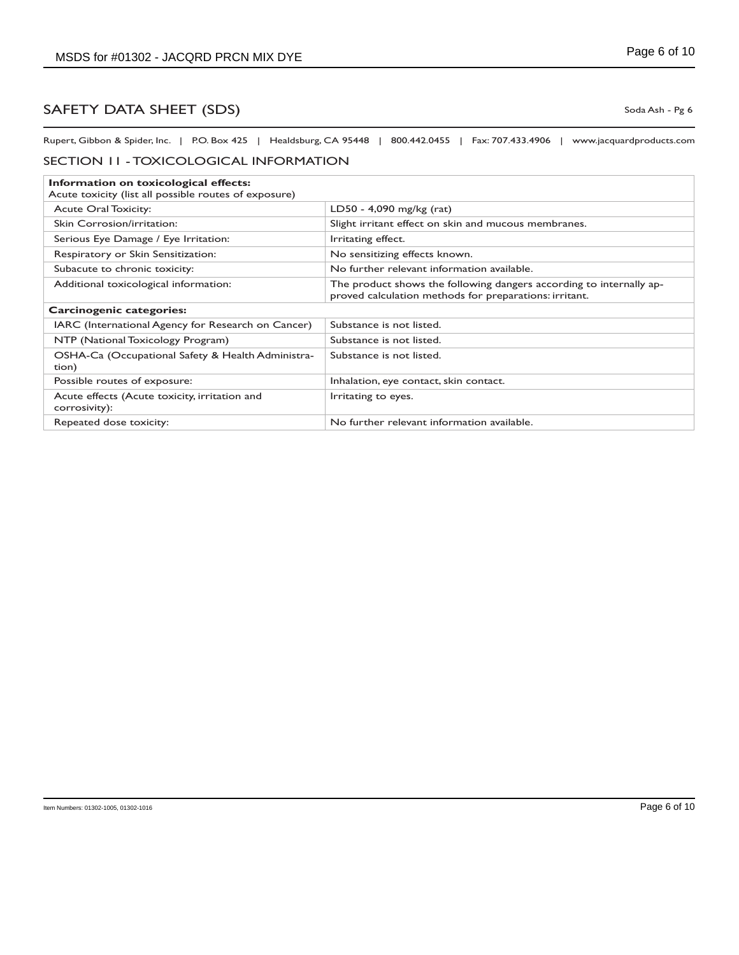Rupert, Gibbon & Spider, Inc. | P.O. Box 425 | Healdsburg, CA 95448 | 800.442.0455 | Fax: 707.433.4906 | www.jacquardproducts.com

#### SECTION 11 - TOXICOLOGICAL INFORMATION

| Information on toxicological effects:                                                |                                                                                                                               |  |
|--------------------------------------------------------------------------------------|-------------------------------------------------------------------------------------------------------------------------------|--|
| Acute toxicity (list all possible routes of exposure)<br><b>Acute Oral Toxicity:</b> | LD50 - 4,090 mg/kg (rat)                                                                                                      |  |
|                                                                                      |                                                                                                                               |  |
| Skin Corrosion/irritation:                                                           | Slight irritant effect on skin and mucous membranes.                                                                          |  |
| Serious Eye Damage / Eye Irritation:                                                 | Irritating effect.                                                                                                            |  |
| Respiratory or Skin Sensitization:                                                   | No sensitizing effects known.                                                                                                 |  |
| Subacute to chronic toxicity:                                                        | No further relevant information available.                                                                                    |  |
| Additional toxicological information:                                                | The product shows the following dangers according to internally ap-<br>proved calculation methods for preparations: irritant. |  |
| Carcinogenic categories:                                                             |                                                                                                                               |  |
| IARC (International Agency for Research on Cancer)                                   | Substance is not listed.                                                                                                      |  |
| NTP (National Toxicology Program)                                                    | Substance is not listed.                                                                                                      |  |
| OSHA-Ca (Occupational Safety & Health Administra-<br>tion)                           | Substance is not listed.                                                                                                      |  |
| Possible routes of exposure:                                                         | Inhalation, eye contact, skin contact.                                                                                        |  |
| Acute effects (Acute toxicity, irritation and<br>corrosivity):                       | Irritating to eyes.                                                                                                           |  |
| Repeated dose toxicity:                                                              | No further relevant information available.                                                                                    |  |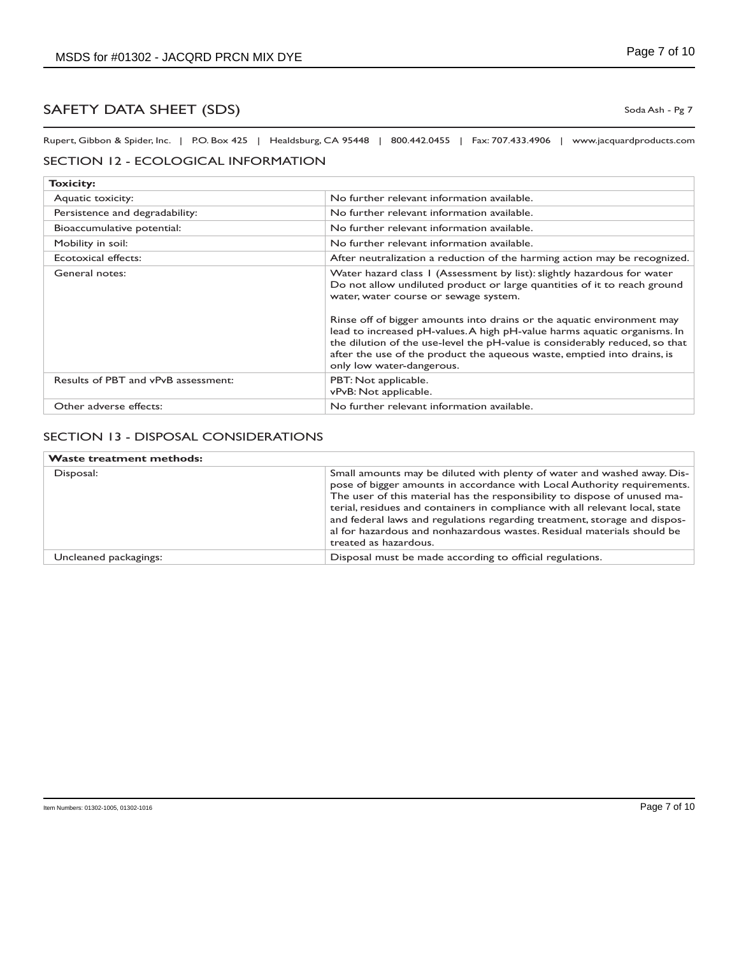Rupert, Gibbon & Spider, Inc. | P.O. Box 425 | Healdsburg, CA 95448 | 800.442.0455 | Fax: 707.433.4906 | www.jacquardproducts.com

#### SECTION 12 - ECOLOGICAL INFORMATION

| <b>Toxicity:</b>                    |                                                                                                                                                                                                                                                                                                                                                                                                                                                                                                                                           |
|-------------------------------------|-------------------------------------------------------------------------------------------------------------------------------------------------------------------------------------------------------------------------------------------------------------------------------------------------------------------------------------------------------------------------------------------------------------------------------------------------------------------------------------------------------------------------------------------|
| Aquatic toxicity:                   | No further relevant information available.                                                                                                                                                                                                                                                                                                                                                                                                                                                                                                |
| Persistence and degradability:      | No further relevant information available.                                                                                                                                                                                                                                                                                                                                                                                                                                                                                                |
| Bioaccumulative potential:          | No further relevant information available.                                                                                                                                                                                                                                                                                                                                                                                                                                                                                                |
| Mobility in soil:                   | No further relevant information available.                                                                                                                                                                                                                                                                                                                                                                                                                                                                                                |
| Ecotoxical effects:                 | After neutralization a reduction of the harming action may be recognized.                                                                                                                                                                                                                                                                                                                                                                                                                                                                 |
| General notes:                      | Water hazard class 1 (Assessment by list): slightly hazardous for water<br>Do not allow undiluted product or large quantities of it to reach ground<br>water, water course or sewage system.<br>Rinse off of bigger amounts into drains or the aquatic environment may<br>lead to increased pH-values. A high pH-value harms aquatic organisms. In<br>the dilution of the use-level the pH-value is considerably reduced, so that<br>after the use of the product the aqueous waste, emptied into drains, is<br>only low water-dangerous. |
| Results of PBT and vPvB assessment: | PBT: Not applicable.<br>vPvB: Not applicable.                                                                                                                                                                                                                                                                                                                                                                                                                                                                                             |
| Other adverse effects:              | No further relevant information available.                                                                                                                                                                                                                                                                                                                                                                                                                                                                                                |

#### SECTION 13 - DISPOSAL CONSIDERATIONS

| <b>Waste treatment methods:</b> |                                                                                                                                                                                                                                                                                                                                                                                                                                                                                                 |
|---------------------------------|-------------------------------------------------------------------------------------------------------------------------------------------------------------------------------------------------------------------------------------------------------------------------------------------------------------------------------------------------------------------------------------------------------------------------------------------------------------------------------------------------|
| Disposal:                       | Small amounts may be diluted with plenty of water and washed away. Dis-<br>pose of bigger amounts in accordance with Local Authority requirements.<br>The user of this material has the responsibility to dispose of unused ma-<br>terial, residues and containers in compliance with all relevant local, state<br>and federal laws and regulations regarding treatment, storage and dispos-<br>al for hazardous and nonhazardous wastes. Residual materials should be<br>treated as hazardous. |
| Uncleaned packagings:           | Disposal must be made according to official regulations.                                                                                                                                                                                                                                                                                                                                                                                                                                        |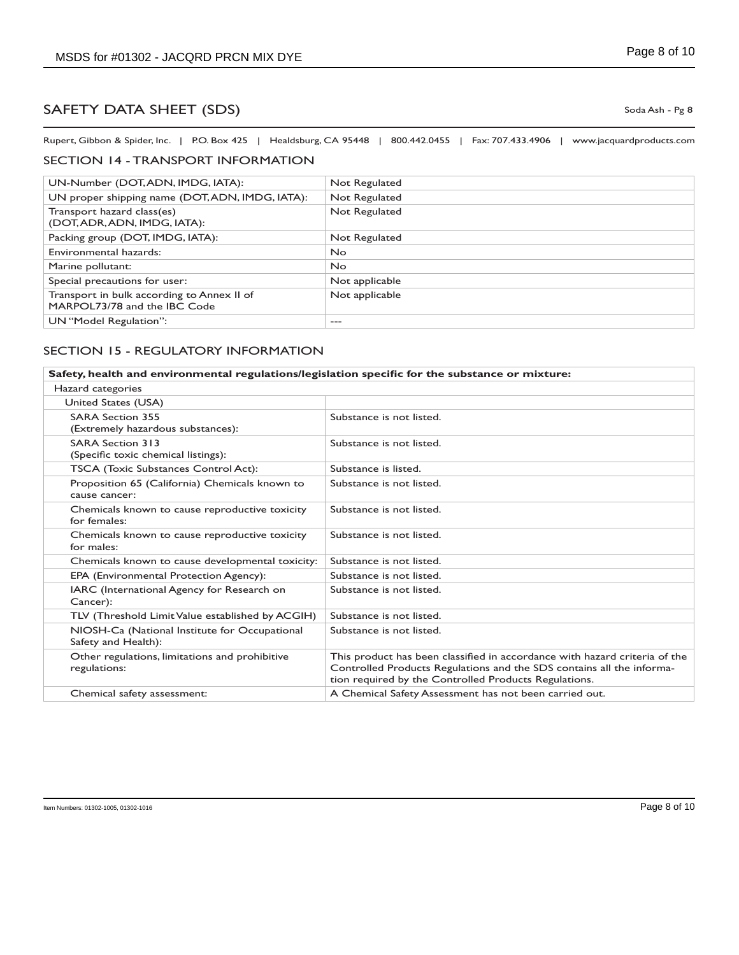Rupert, Gibbon & Spider, Inc. | P.O. Box 425 | Healdsburg, CA 95448 | 800.442.0455 | Fax: 707.433.4906 | www.jacquardproducts.com

## SECTION 14 - TRANSPORT INFORMATION

| UN-Number (DOT, ADN, IMDG, IATA):                                          | Not Regulated  |
|----------------------------------------------------------------------------|----------------|
| UN proper shipping name (DOT, ADN, IMDG, IATA):                            | Not Regulated  |
| Transport hazard class(es)<br>(DOT, ADR, ADN, IMDG, IATA):                 | Not Regulated  |
| Packing group (DOT, IMDG, IATA):                                           | Not Regulated  |
| Environmental hazards:                                                     | No.            |
| Marine pollutant:                                                          | No.            |
| Special precautions for user:                                              | Not applicable |
| Transport in bulk according to Annex II of<br>MARPOL73/78 and the IBC Code | Not applicable |
| UN "Model Regulation":                                                     | ---            |

#### SECTION 15 - REGULATORY INFORMATION

| Safety, health and environmental regulations/legislation specific for the substance or mixture: |                                                                                                                                                                                                              |  |
|-------------------------------------------------------------------------------------------------|--------------------------------------------------------------------------------------------------------------------------------------------------------------------------------------------------------------|--|
| Hazard categories                                                                               |                                                                                                                                                                                                              |  |
| United States (USA)                                                                             |                                                                                                                                                                                                              |  |
| <b>SARA Section 355</b><br>(Extremely hazardous substances):                                    | Substance is not listed.                                                                                                                                                                                     |  |
| <b>SARA Section 313</b><br>(Specific toxic chemical listings):                                  | Substance is not listed.                                                                                                                                                                                     |  |
| <b>TSCA (Toxic Substances Control Act):</b>                                                     | Substance is listed.                                                                                                                                                                                         |  |
| Proposition 65 (California) Chemicals known to<br>cause cancer:                                 | Substance is not listed.                                                                                                                                                                                     |  |
| Chemicals known to cause reproductive toxicity<br>for females:                                  | Substance is not listed.                                                                                                                                                                                     |  |
| Chemicals known to cause reproductive toxicity<br>for males:                                    | Substance is not listed.                                                                                                                                                                                     |  |
| Chemicals known to cause developmental toxicity:                                                | Substance is not listed.                                                                                                                                                                                     |  |
| EPA (Environmental Protection Agency):                                                          | Substance is not listed.                                                                                                                                                                                     |  |
| IARC (International Agency for Research on<br>Cancer):                                          | Substance is not listed.                                                                                                                                                                                     |  |
| TLV (Threshold Limit Value established by ACGIH)                                                | Substance is not listed.                                                                                                                                                                                     |  |
| NIOSH-Ca (National Institute for Occupational<br>Safety and Health):                            | Substance is not listed.                                                                                                                                                                                     |  |
| Other regulations, limitations and prohibitive<br>regulations:                                  | This product has been classified in accordance with hazard criteria of the<br>Controlled Products Regulations and the SDS contains all the informa-<br>tion required by the Controlled Products Regulations. |  |
| Chemical safety assessment:                                                                     | A Chemical Safety Assessment has not been carried out.                                                                                                                                                       |  |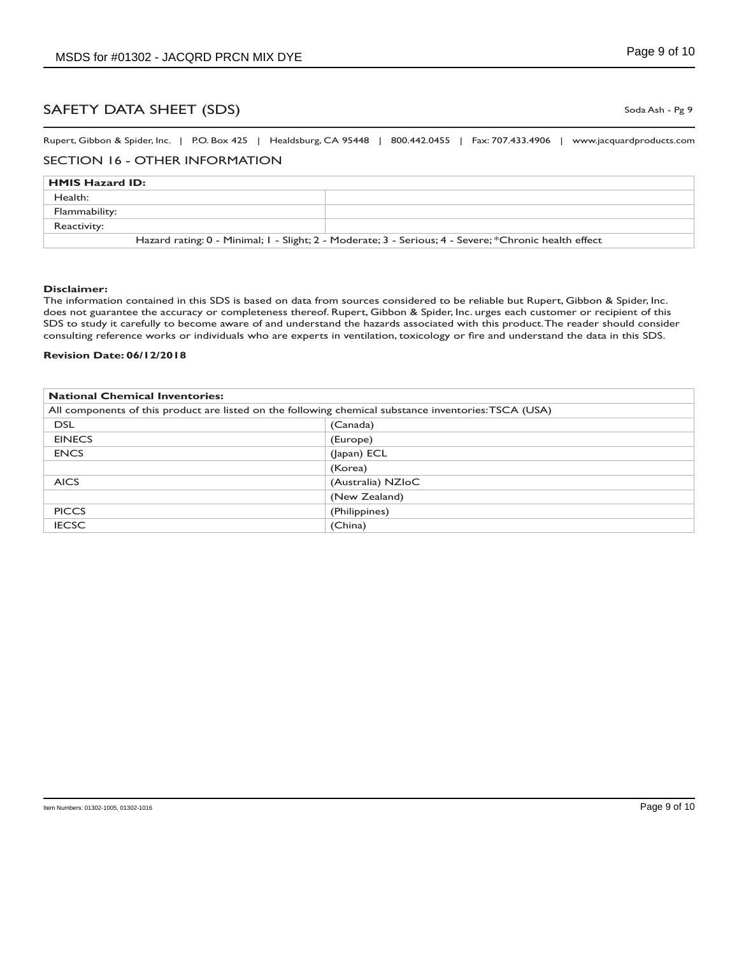Rupert, Gibbon & Spider, Inc. | P.O. Box 425 | Healdsburg, CA 95448 | 800.442.0455 | Fax: 707.433.4906 | www.jacquardproducts.com

#### SECTION 16 - OTHER INFORMATION

| <b>HMIS Hazard ID:</b>                                                                                |  |  |
|-------------------------------------------------------------------------------------------------------|--|--|
| Health:                                                                                               |  |  |
| Flammability:                                                                                         |  |  |
| Reactivity:                                                                                           |  |  |
| Hazard rating: 0 - Minimal; 1 - Slight; 2 - Moderate; 3 - Serious; 4 - Severe; *Chronic health effect |  |  |

#### **Disclaimer:**

The information contained in this SDS is based on data from sources considered to be reliable but Rupert, Gibbon & Spider, Inc. does not guarantee the accuracy or completeness thereof. Rupert, Gibbon & Spider, Inc. urges each customer or recipient of this SDS to study it carefully to become aware of and understand the hazards associated with this product. The reader should consider consulting reference works or individuals who are experts in ventilation, toxicology or fire and understand the data in this SDS.

#### **Revision Date: 06/12/2018**

| <b>National Chemical Inventories:</b>                                                                 |                   |
|-------------------------------------------------------------------------------------------------------|-------------------|
| All components of this product are listed on the following chemical substance inventories: TSCA (USA) |                   |
| <b>DSL</b>                                                                                            | (Canada)          |
| <b>EINECS</b>                                                                                         | (Europe)          |
| <b>ENCS</b>                                                                                           | (Japan) ECL       |
|                                                                                                       | (Korea)           |
| <b>AICS</b>                                                                                           | (Australia) NZIoC |
|                                                                                                       | (New Zealand)     |
| <b>PICCS</b>                                                                                          | (Philippines)     |
| <b>IECSC</b>                                                                                          | (China)           |